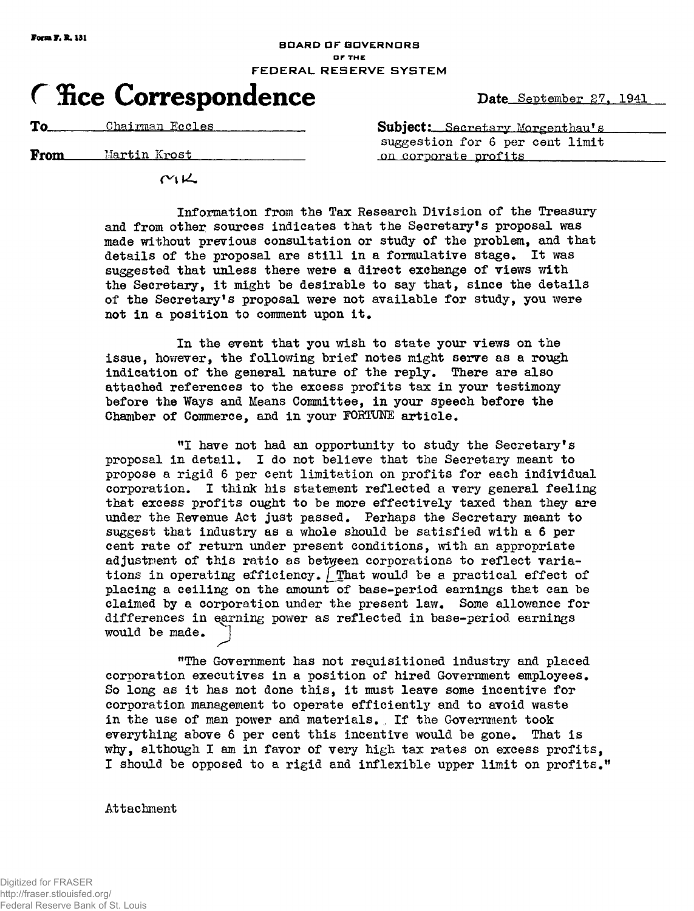## **BOAR D O F GOVERNOR S • r THE FEDERAL RESERVE SYSTEM**

# **Fice Correspondence** Date September 27, 1941

**From** Martin Krost **nil one of the Martin Krost Martin Krost nil one of the profits** 

 $M\underline{K}$ 

**To**<sub> **Chairman Eccles**<br> **Subject:** Secretary Morgenthau's</sub> **suggestion for 6 per cent limit** 

> **Information from the Tax Research Division of the Treasury 1 and from other sources indicates that the Secretary s proposal was made without previous consultation or study of the problem, and that details of the proposal are still in a formulative stage\* It was suggested that unless there were a direct exchange of views with the Secretary, it might be desirable to say that, since the details 1 of the Secretary s proposal were not available for study, you were**  not in a position to comment upon it.

**In the event that you wish to state your views on the issue, however, the following brief notes might serve as a rough indication of the general nature of the reply. There are also attached references to the excess profits tax in your testimony before the Ways and Means Committee, in your speech before the**  Chamber of Commerce, and in your FORTUNE article.

**I have not had an opportunity to study the Secretary's proposal in detail\* I do not believe that the Secretary meant to propose a rigid 6 per cent limitation on profits for each individual corporation. I think his statement reflected a very general feeling that excess profits ought to be more effectively taxed than they are under the Revenue Act just passed. Perhaps the Secretary meant to suggest that industry as a whole should be satisfied with a 6 per cent rate of return under present conditions, with an appropriate adjustment of this ratio as between corporations to reflect varia**tions in operating efficiency. That would be a practical effect of **placing a ceiling on the amount of base-period earnings that can be**  claimed by a corporation under the present law. Some allowance for **differences in qarning power as reflected in base-period earnings**  would be made.

**"The Government has not requisitioned industry and placed**  corporation executives in a position of hired Government employees. **So long as it has not done this, it must leave some incentive for corporation management to operate efficiently and to avoid waste in the use of man power and materials. , If the Government took everything above 6 per cent this incentive would be gone\* That is why, although I am in favor of very high tax rates on excess profits, I should be opposed to a rigid and inflexible upper limit on profits."** 

**Attachment**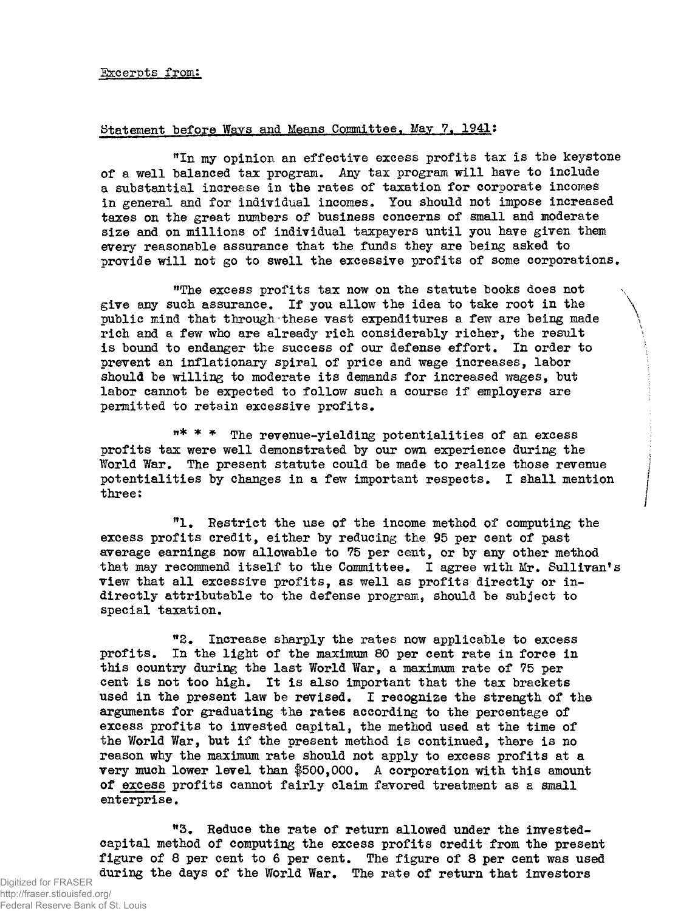#### **Statement before Ways and Means Committee, May 7. 1941:**

**"In my opinion an effective excess profits tax is the keystone of a well balanced tax program. Any tax program will have to include a substantial increase in the rates of taxation for corporate incomes in general and for individual incomes. You should not impose increased taxes on the great numbers of business concerns of small and moderate size and on millions of individual taxpayers until you have given them**  *every* **reasonable assurance that the funds they are being asked to provide will not go to swell the excessive profits of some corporations.** 

**tf The excess profits tax now on the statute books does not give 8ny such assurance. If you allow the idea to take root in the public mind that through these vast expenditures a few are being made rich and a few who are already rich considerably richer, the result is bound to endanger the success of our defense effort. In order to prevent an inflationary spiral of price and wage increases, labor should be willing to moderate its demands for increased wages, but labor cannot be expected to follow such a course if employers are permitted to retain excessive profits.** 

**»\* \* \* The revenue-yielding potentialities of an excess profits tax were well demonstrated by our own experience during the World War. The present statute could be made to realize those revenue potentialities by changes in a few important respects. I shall mention three:** 

**l . Restrict the use of the income method of computing the excess profits credit, either by reducing the 95 per cent of past average earnings now allowable to 75 per cent, or by any other method**  that may recommend itself to the Committee. I agree with Mr. Sullivan's **view that all excessive profits, as well as profits directly or indirectly attributable to the defense program, should be subject to special taxation.** 

**2 . Increase sharply the rates now applicable to excess profits. In the light of the maximum 80 per cent rate in force in this country during the last World War, a maximum rate of 75 per cent is not too high. It is also important that the tax brackets used in the present law be revised. I recognize the strength of the arguments for graduating the rates according to the percentage of excess profits to invested capital, the method used at the time of the World War, but if the present method is continued, there is no reason why the maximum rate should not apply to excess profits at a very much lower level than f500,000. A corporation with this amount of excess profits cannot fairly claim favored treatment as a small enterprise.** 

**3 . Reduce the rate of return allowed under the investedcapital method of computing the excess profits credit from the present figure of 8 per cent to 6 per cent. The figure of 8 per cent was used during the days of the World War. The rate of return that investors**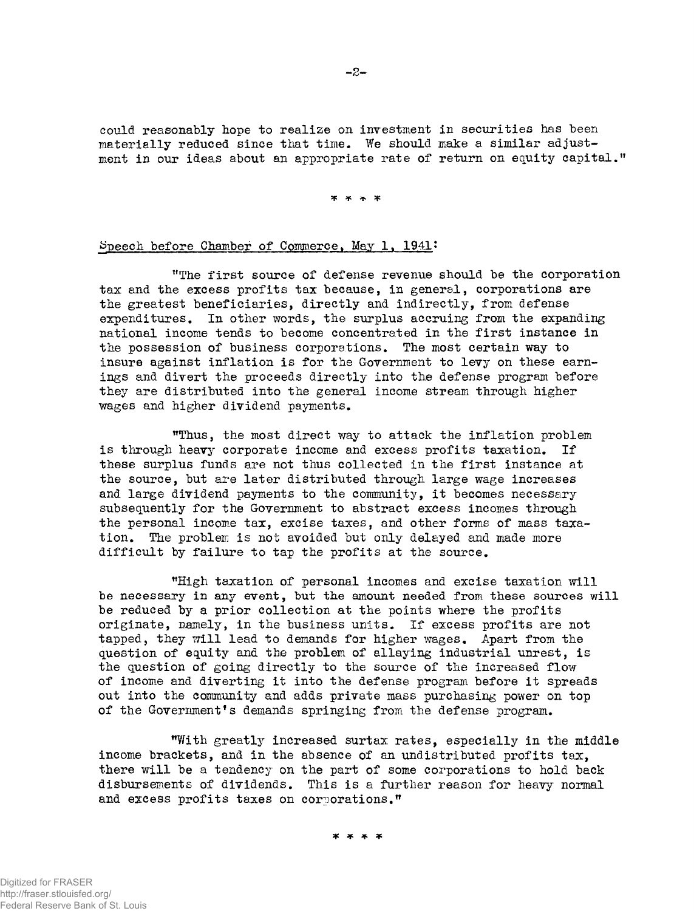could reasonably hope to realize on investment in securities has been materially reduced since that time. We should make a similar adjustment in our ideas about an appropriate rate of return on equity capital."

**3|C ap Jjc** 

## Speech before Chamber of Commerce, May 1, 1941:

The first source of defense revenue should be the corporation tax and the excess profits tax because, in general, corporations are the greatest beneficiaries, directly and indirectly, from defense expenditures. In other words, the surplus accruing from the expanding national income tends to become concentrated in the first instance in the possession of business corporations. The most certain way to insure against inflation is for the Government to levy on these earnings and divert the proceeds directly into the defense program before they are distributed into the general income stream through higher wages and higher dividend payments.

"Thus, the most direct way to attack the inflation problem is through heavy corporate income and excess profits taxation. If these surplus funds are not thus collected in the first instance at the source, but are later distributed through large wage increases and large dividend payments to the community, it becomes necessary subsequently for the Government to abstract excess incomes through the personal income tax, excise taxes, and other forms of mass taxation. The problem is not avoided but only delayed and made more difficult by failure to tap the profits at the source.

"High taxation of personal incomes and excise taxation will be necessary in any event, but the amount needed from these sources will be reduced by a prior collection at the points where the profits originate, namely, in the business units. If excess profits are not tapped, they will lead to demands for higher wages. Apart from the question of equity and the problem of allaying industrial unrest, is the question of going directly to the source of the increased flow of income and diverting it into the defense program before it spreads out into the community and adds private mass purchasing power on top of the Government's demands springing from the defense program.

"With greatly increased surtax rates, especially in the middle income brackets, and in the absence of an undistributed profits tax, there will be a tendency on the part of some corporations to hold back disbursements of dividends. This is a further reason for heavy normal and excess profits taxes on corporations."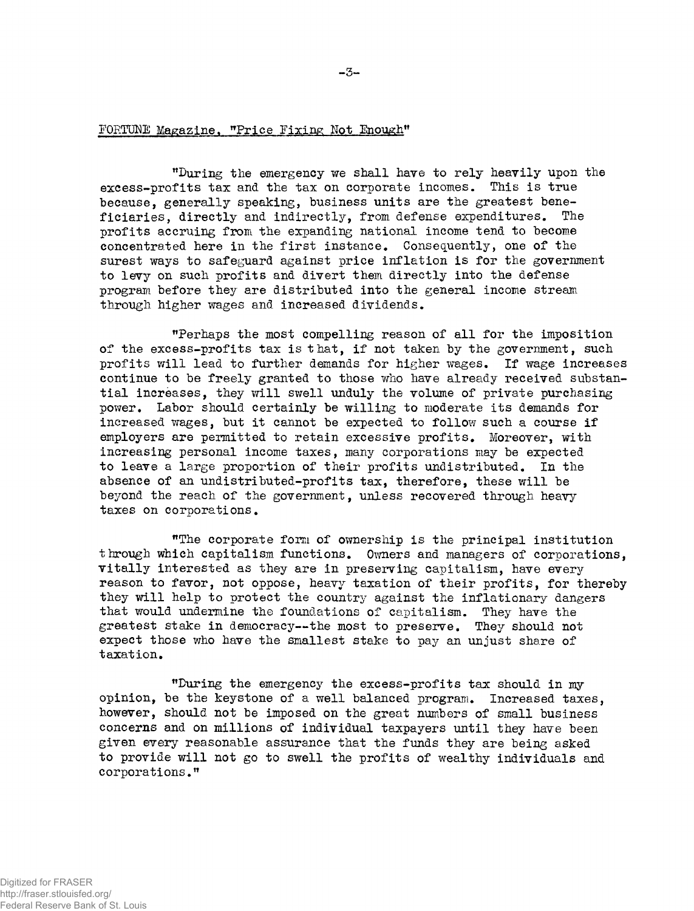# FORTUNE Magazine, "Price Fixing Not Enough"

"During the emergency we shall have to rely heavily upon the excess-profits tax and the tax on corporate incomes. This is true because, generally speaking, business units are the greatest beneficiaries, directly and indirectly, from defense expenditures. The profits accruing from the expanding national income tend to become concentrated here in the first instance» Consequently, one of the surest ways to safeguard against price inflation is for the government to levy on such profits and divert them directly into the defense program before they are distributed into the general income stream through higher wages and increased dividends.

"Perhaps the most compelling reason of all for the imposition of the excess-profits tax is that, if not taken by the government, such profits will lead to further demands for higher wages. If wage increases continue to be freely granted to those who have already received substantial increases, they will swell unduly the volume of private purchasing power. Labor should certainly be willing to moderate its demands for increased wages, but it cannot be expected to follow such a course if employers are permitted to retain excessive profits. Moreover, with increasing personal income taxes, many corporations may be expected to leave a large proportion of their profits undistributed. In the absence of an undistributed-profits tax, therefore, these will be beyond the reach of the government, unless recovered through heavy taxes on corporations.

"The corporate form of ownership is the principal institution through which capitalism functions. Owners and managers of corporations, vitally interested as they are in preserving capitalism, have every reason to favor, not oppose, heavy taxation of their profits, for thereby they will help to protect the country against the inflationary dangers that would undermine the foundations of capitalism. They have the greatest stake in democracy—the most to preserve. They should not expect those who have the smallest stake to pay an unjust share of taxation.

"During the emergency the excess-profits tax should in my opinion, be the keystone of a well balanced program. Increased taxes, however, should not be imposed on the great numbers of small business concerns and on millions of individual taxpayers until they have been given every reasonable assurance that the funds they are being asked to provide will not go to swell the profits of wealthy individuals and corporations."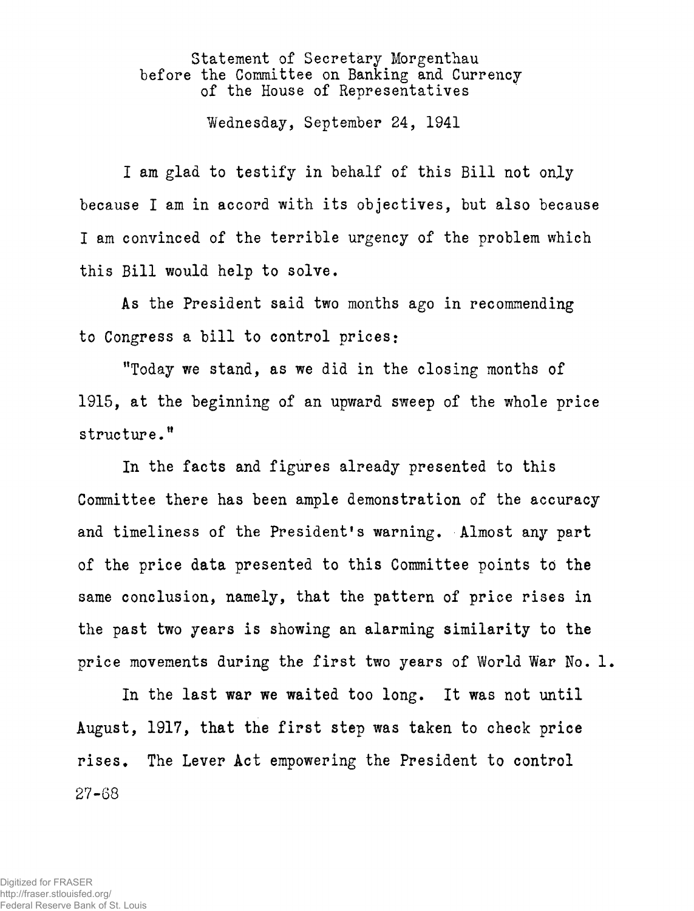**Statement of Secretary Morgenthau before the Committee on Banking and Currency of the House of Representatives** 

**Wednesday, September 24, 1941** 

**I am glad to testify in behalf of this Bill not only because I am in accord with its objectives, but also because I am convinced of the terrible urgency of the problem which this Bill would help to solve.** 

**As the President said two months ago in recommending to Congress a bill to control prices:** 

**"Today we stand, as we did in the closing months of 1915, at the beginning of an upward sweep of the whole price structure."** 

**In the facts and figures already presented to this Committee there has been ample demonstration of the accuracy and timeliness of the President's warning. Almost any part**  of the price data presented to this Committee points to the **same conclusion, namely, that the pattern of price rises in the past two years is showing an alarming similarity to the price movements during the first two years of World War No. 1.** 

**In the last war we waited too long. It was not until August, 1917, that the first step was taken to check price rises. The Lever Act empowering the President to control**  27-68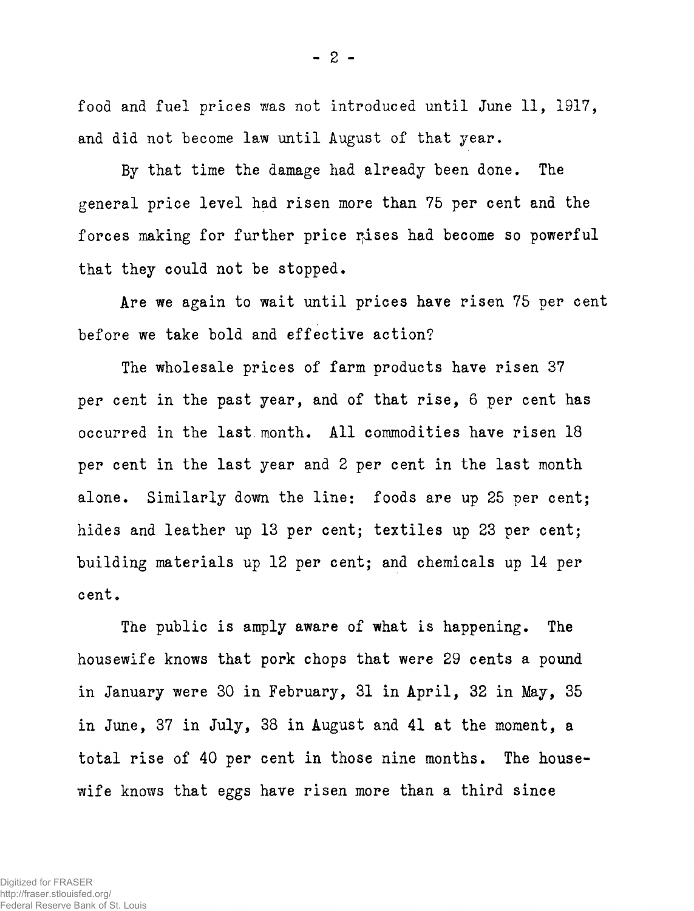**food and fuel prices was not introduced until June 11, 1917, and did not become law until August of that year.** 

**By that time the damage had already been done. The general price level had risen more than 75 per cent and the**  forces making for further price rises had become so powerful **that they could not be stopped•** 

**Are we again to wait until prices have risen 75 per cent before we take bold and effective action?** 

**The wholesale prices of farm products have risen 37 per cent in the past year, and of that rise, 6 per cent has**  occurred in the last month. All commodities have risen 18 **per cent in the last year and 2 per cent in the last month alone. Similarly down the line: foods are up 25 per cent; hides and leather up 13 per cent; textiles up 23 per cent; building materials up 12 per cent; and chemicals up 14 per**  cent.

**The public is amply aware of what is happening. The housewife knows that pork chops that were 29 cents a pound in January were 30 in February, 31 in April, 32 in May, 35 in June, 37 in July, 38 in August and 41 at the moment, a total rise of 40 per cent in those nine months. The housewife knows that eggs have risen more than a third since**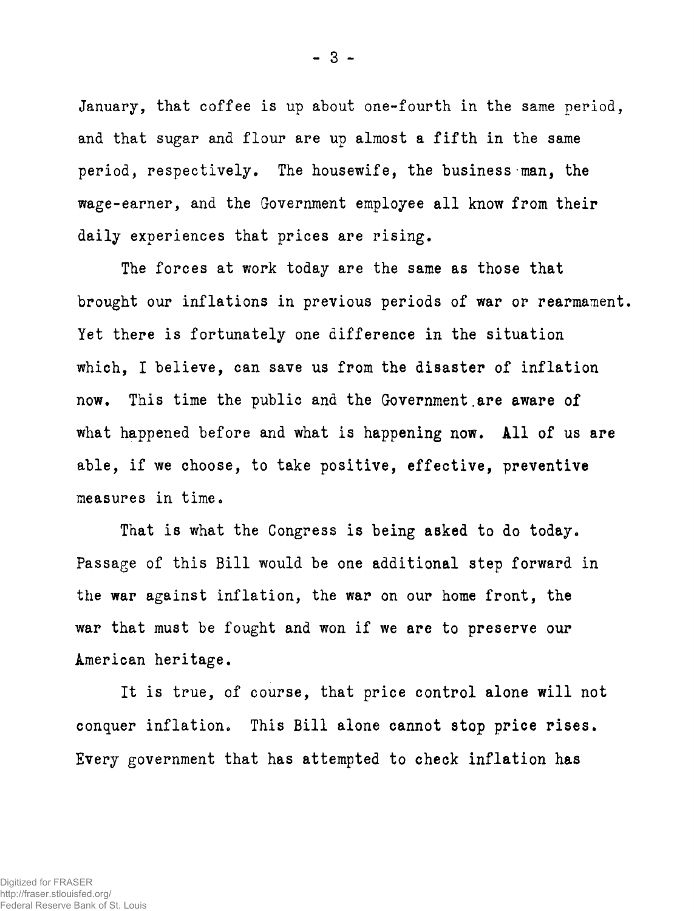**January, that coffee is up about one-fourth in the same period, and that sugar and flour are up almost a fifth in the same period, respectively. The housewife, the business man, the wage-earner, and the Government employee all know from their daily experiences that prices are rising.** 

**The forces at work today are the same as those that brought our inflations in previous periods of war or rearmament. Yet there is fortunately one difference in the situation which, I believe, can save us from the disaster of inflation now. This time the public and the Government.are aware of what happened before and what is happening now. All of us are able, if we choose, to take positive, effective, preventive measures in time.** 

**That is what the Congress is being asked to do today. Passage of this Bill would be one additional step forward in the war against inflation, the war on our home front, the war that must be fought and won if we are to preserve our American heritage.** 

**It is true, of course, that price control alone will not conquer inflation. This Bill alone cannot stop price rises. Every government that has attempted to check inflation has** 

**- 3 -**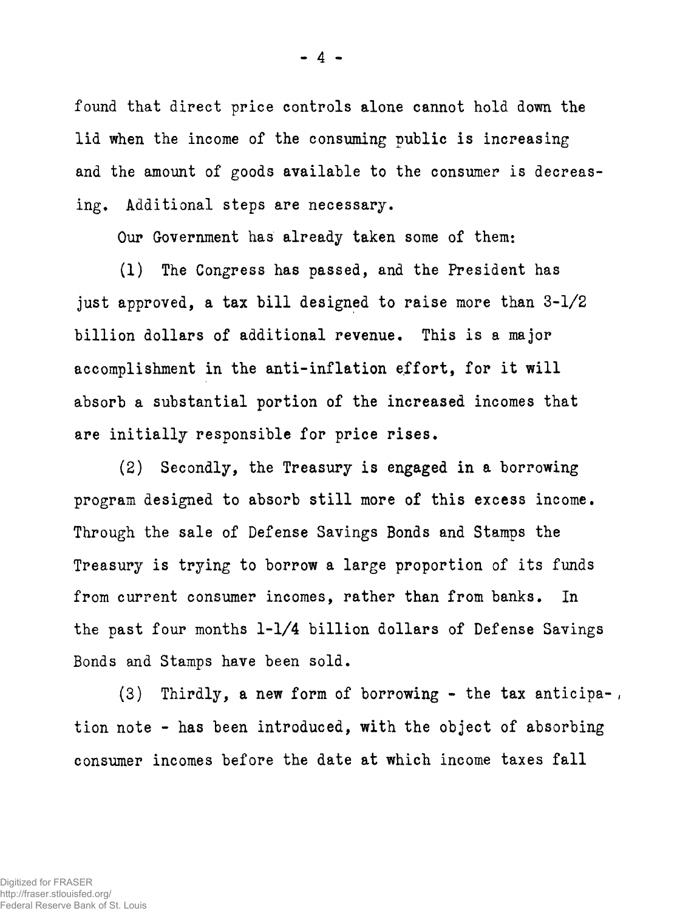**found that direct price controls alone cannot hold down the lid when the income of the consuming public is increasing and the amount of goods available to the consumer is decreasing. Additional steps are necessary.** 

**Our Government has already taken some of them:** 

**(1) The Congress has passed, and the President has just approved, a tax bill designed to raise more than 3-1/2 billion dollars of additional revenue. This is a major accomplishment in the anti-inflation effort, for it will absorb a substantial portion of the increased incomes that are initially responsible for price rises.** 

**(2) Secondly, the Treasury is engaged in a borrowing program designed to absorb still more of this excess income. Through the sale of Defense Savings Bonds and Stamps the Treasury is trying to borrow a large proportion of its funds from current consumer incomes, rather than from banks. In the past four months 1-1/4 billion dollars of Defense Savings Bonds and Stamps have been sold.** 

**(3) Thirdly, a new form of borrowing - the tax anticipa- , tion note - has been introduced, with the object of absorbing consumer incomes before the date at which income taxes fall**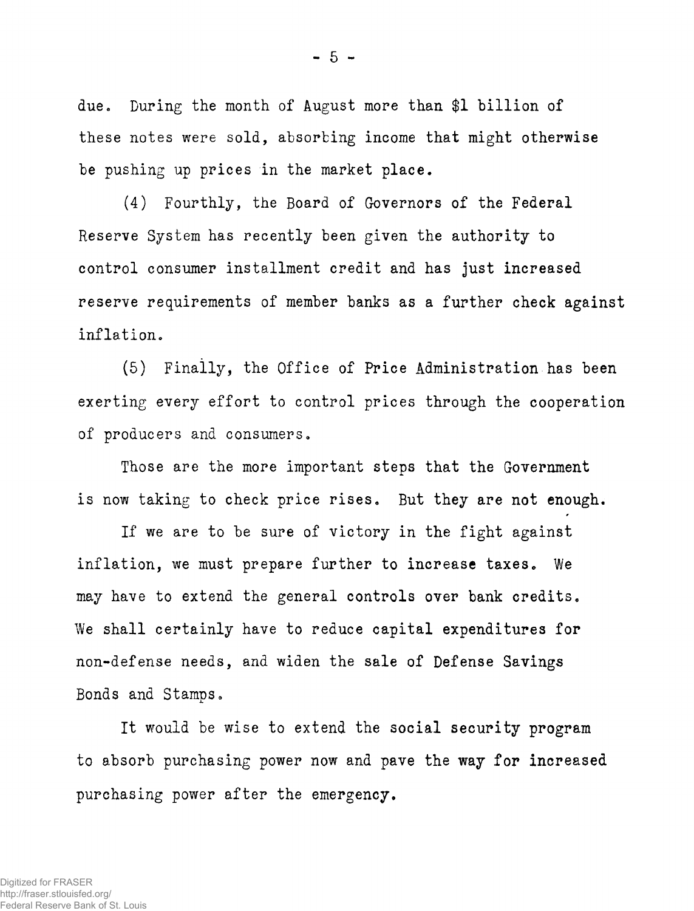due. During the month of August more than \$1 billion of **these notes were sold, absorbing income that might otherwise be pushing up prices in the market place.** 

**(4) Fourthly, the Board of Governors of the Federal Reserve System has recently been given the authority to control consumer installment credit and has just increased reserve requirements of member banks as a further check against inflation.** 

**(5) Finally, the Office of Price Administration has been exerting every effort to control prices through the cooperation of producers and consumers.** 

**Those are the more important steps that the Government is now taking to check price rises. But they are not enough.** 

**If we are to be sure of victory in the fight against inflation, we must prepare further to increase taxes. We may have to extend the general controls over bank credits. We shall certainly have to reduce capital expenditures for non-defense needs, and widen the sale of Defense Savings Bonds and Stamps.** 

**It would be wise to extend the social security program to absorb purchasing power now and pave the way for increased purchasing power after the emergency.**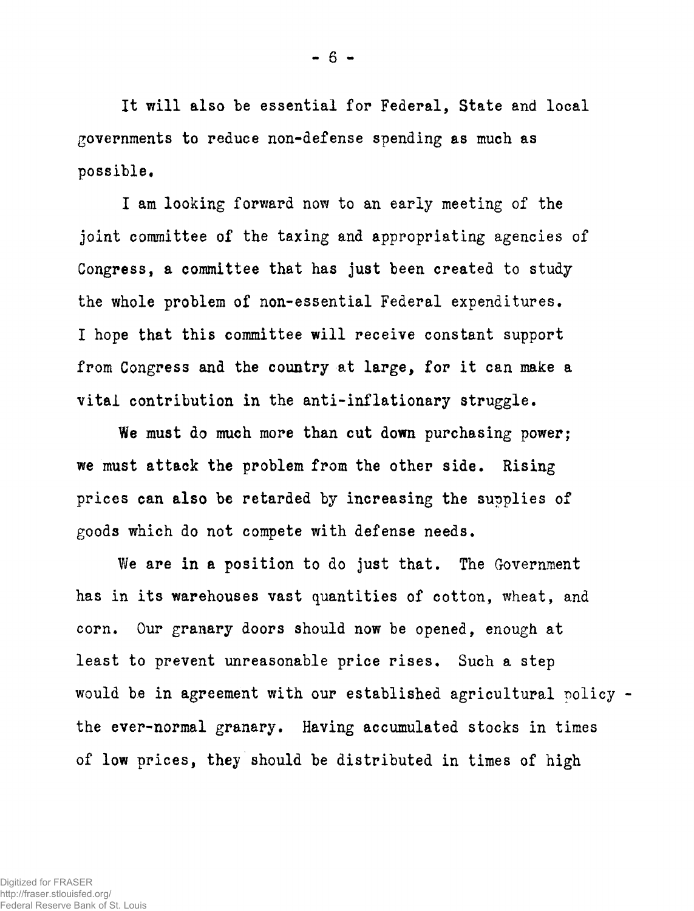**- 6 -**

**It will also be essential for Federal, State and local governments to reduce non-defense spending as much as possible.** 

**I am looking forward now to an early meeting of the joint committee of the taxing and appropriating agencies of Congress, a committee that has just been created to study the whole problem of non-essential Federal expenditures. I hope that this committee will receive constant support from Congress and the country at large, for it can make a vital contribution in the anti-inflationary struggle.** 

**We must do much more than cut down purchasing power, we must attack the problem from the other side. Rising prices can also be retarded by increasing the supplies of goods which do not compete with defense needs.** 

**We are in a position to do just that. The Government has in its warehouses vast quantities of cotton, wheat, and corn. Our granary doors should now be opened, enough at least to prevent unreasonable price rises. Such a step would be in agreement with our established agricultural policy the ever-normal granary. Having accumulated stocks in times of low prices, they should be distributed in times of high**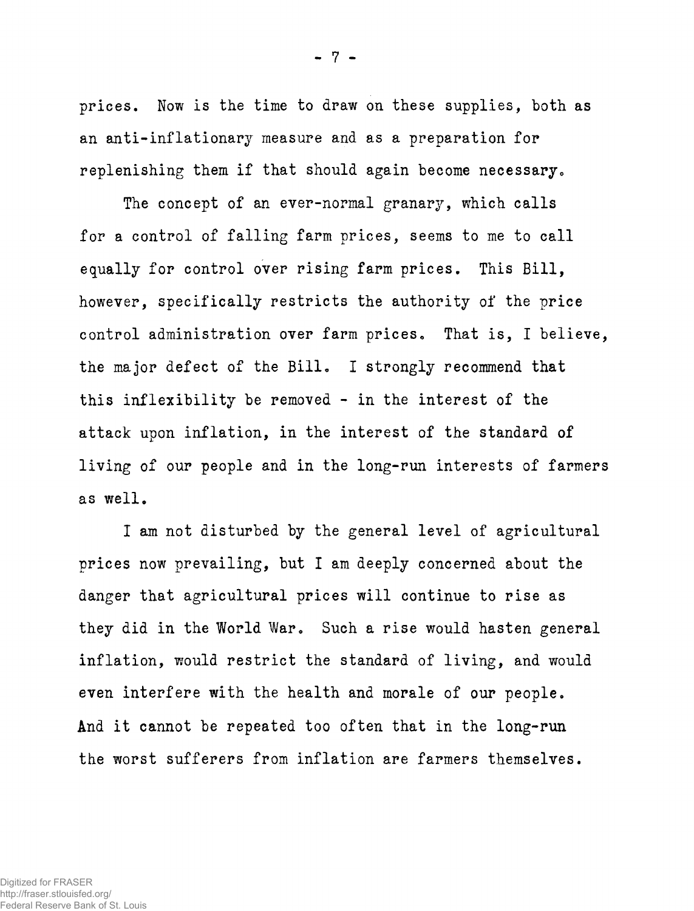**prices. Now is the time to draw on these supplies, both as an anti-inflationary measure and as a preparation for**  replenishing them if that should again become necessary.

**The concept of an ever-normal granary, which calls for a control of falling farm prices, seems to me to call**  equally for control over rising farm prices. This Bill, **however, specifically restricts the authority of the price**  control administration over farm prices. That is, I believe, **the major defect of the Bill\* I strongly recommend that this inflexibility be removed - in the interest of the attack upon inflation, in the interest of the standard of living of our people and in the long-run interests of farmers**  as well.

**I am not disturbed by the general level of agricultural prices now prevailing, but I am deeply concerned about the danger that agricultural prices will continue to rise as**  they did in the World War. Such a rise would hasten general **inflation, would restrict the standard of living, and would**  even interfere with the health and morale of our people. **And it cannot be repeated too often that in the long-run**  the worst sufferers from inflation are farmers themselves.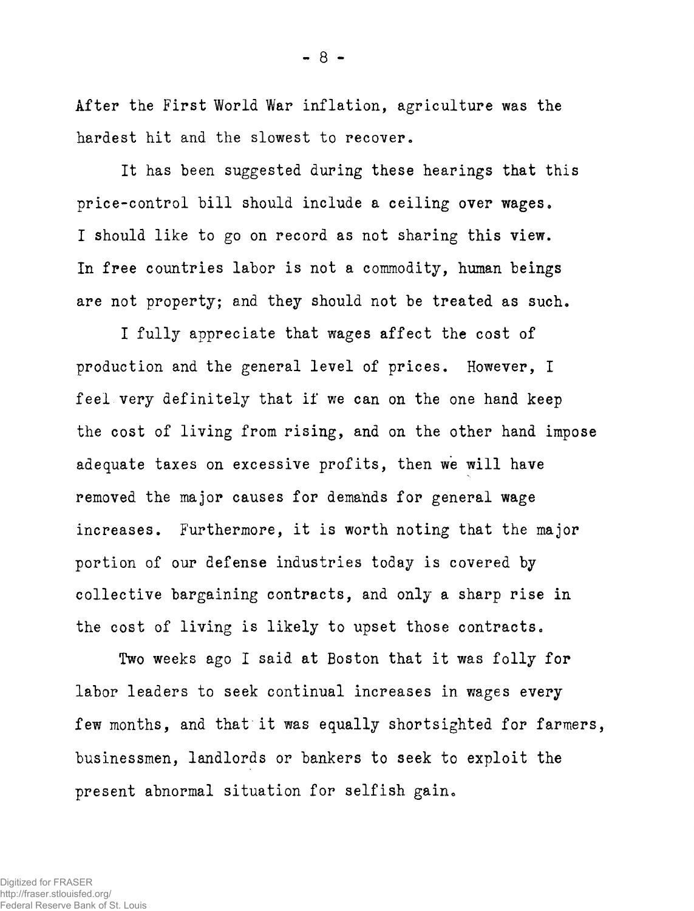**After the First World War inflation, agriculture was the**  hardest hit and the slowest to recover.

**It has been suggested during these hearings that this**  price-control bill should include a ceiling over wages. **I should like to go on record as not sharing this view. In free countries labor is not a commodity, human beings**  are not property; and they should not be treated as such.

**I fully appreciate that wages affect the cost of production and the general level of prices. However, I feel very definitely that if we can on the one hand keep the cost of living from rising, and on the other hand impose adequate taxes on excessive profits, then we will have removed the major causes for demands for general wage**  increases. Furthermore, it is worth noting that the major **portion of our defense industries today is covered by collective bargaining contracts, and only a sharp rise in the cost of living is likely to upset those contracts<sup>0</sup>**

**Two weeks ago I said at Boston that it was folly for labor leaders to seek continual increases in wages every few months, and that it was equally shortsighted for farmers, businessmen, landlords or bankers to seek to exploit the**  present abnormal situation for selfish gain.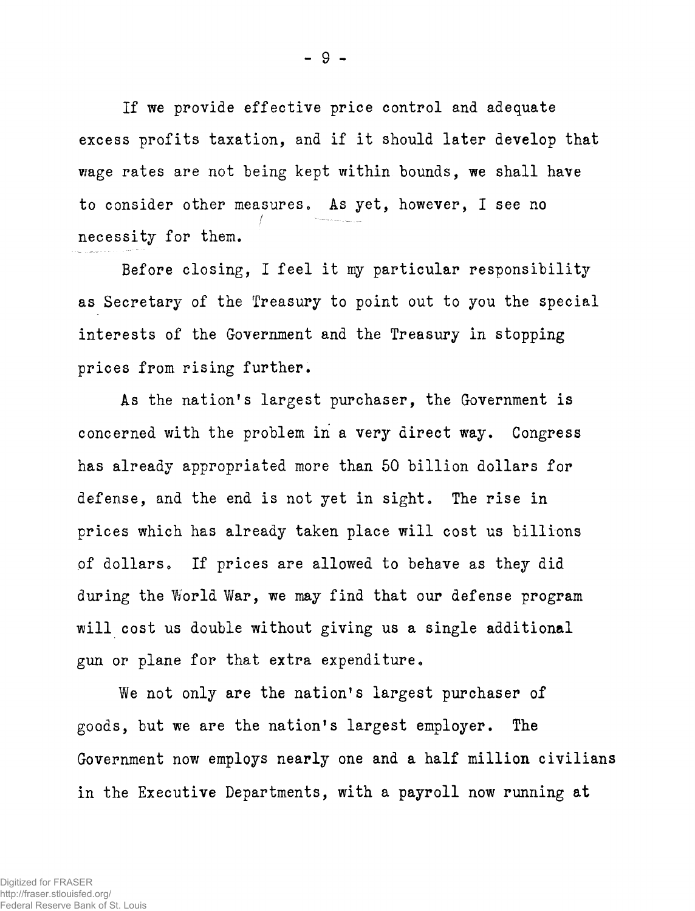**If we provide effective price control and adequate excess profits taxation, and if it should later develop that wage rates are not being kept within bounds, we shall have to consider other measures<sup>0</sup> As yet, however, I see no**  / **necessity for them.** 

**Before closing, I feel it my particular responsibility as Secretary of the Treasury to point out to you the special interests of the Government and the Treasury in stopping prices from rising further.** 

**As the nation 1 s largest purchaser, the Government is concerned with the problem in a very direct way. Congress has already appropriated more than 50 billion dollars for defense, and the end is not yet in sight. The rise in prices which has already taken place will cost us billions**  of dollars. If prices are allowed to behave as they did **during the World War, we may find that our defense program will cost us double without giving us a single additional gun or plane for that extra expenditure.** 

We not only are the nation's largest purchaser of **goods, but we are the nation 1 s largest employer. The Government now employs nearly one and a half million civilians in the Executive Departments, with a payroll now running at**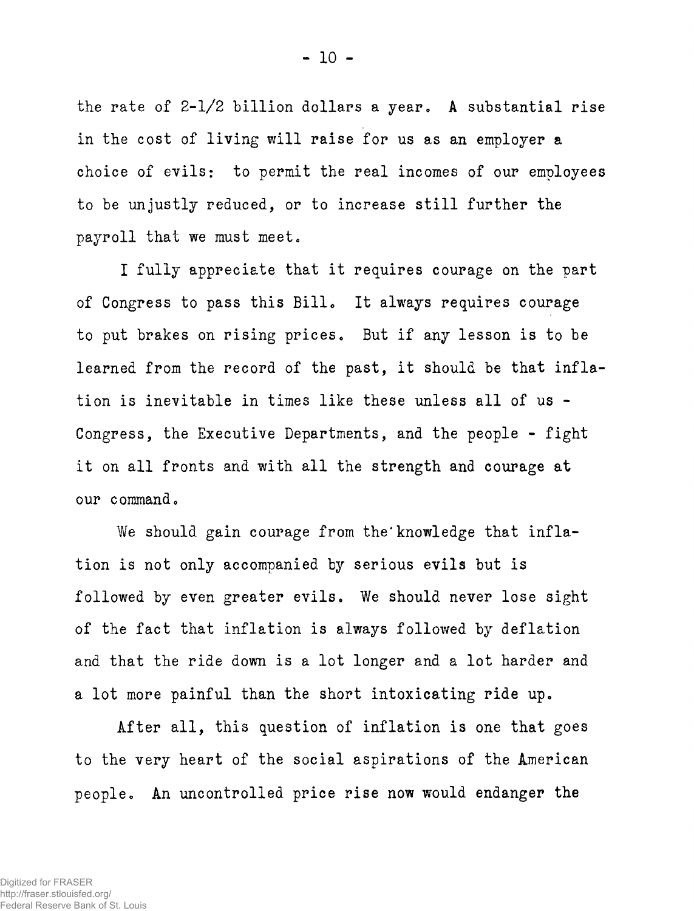**the rate of 2-1/2 billion dollars a year. A substantial rise in the cost of living will raise for us as an employer a choice of evils: to permit the real incomes of our employees to be unjustly reduced, or to increase still further the**  payroll that we must meet.

**I fully appreciate that it requires courage on the part of Congress to pass this Bill\* It always requires courage to put brakes on rising prices. But if any lesson is to be learned from the record of the past, it should be that inflation is inevitable in times like these unless all of us - Congress, the Executive Departments, and the people - fight it on all fronts and with all the strength and courage at**  our command.

We should gain courage from the knowledge that infla**tion is not only accompanied by serious evils but is followed by even greater evils. We should never lose sight of the fact that inflation is always followed by deflation and that the ride down is a lot longer and a lot harder and a lot more painful than the short intoxicating ride up.** 

**After all, this question of inflation is one that goes to the very heart of the social aspirations of the American**  people. An uncontrolled price rise now would endanger the